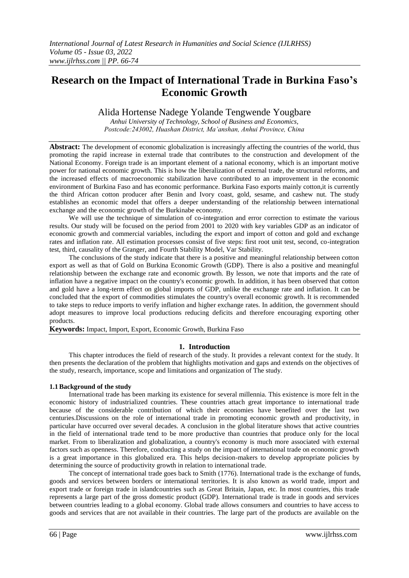# **Research on the Impact of International Trade in Burkina Faso's Economic Growth**

Alida Hortense Nadege Yolande Tengwende Yougbare

*Anhui University of Technology, School of Business and Economics, Postcode:243002, Huashan District, Ma'anshan, Anhui Province, China*

**Abstract:** The development of economic globalization is increasingly affecting the countries of the world, thus promoting the rapid increase in external trade that contributes to the construction and development of the National Economy. Foreign trade is an important element of a national economy, which is an important motive power for national economic growth. This is how the liberalization of external trade, the structural reforms, and the increased effects of macroeconomic stabilization have contributed to an improvement in the economic environment of Burkina Faso and has economic performance. Burkina Faso exports mainly cotton,it is currently the third African cotton producer after Benin and Ivory coast, gold, sesame, and cashew nut. The study establishes an economic model that offers a deeper understanding of the relationship between international exchange and the economic growth of the Burkinabe economy.

We will use the technique of simulation of co-integration and error correction to estimate the various results. Our study will be focused on the period from 2001 to 2020 with key variables GDP as an indicator of economic growth and commercial variables, including the export and import of cotton and gold and exchange rates and inflation rate. All estimation processes consist of five steps: first root unit test, second, co-integration test, third, causality of the Granger, and Fourth Stability Model, Var Stability.

The conclusions of the study indicate that there is a positive and meaningful relationship between cotton export as well as that of Gold on Burkina Economic Growth (GDP). There is also a positive and meaningful relationship between the exchange rate and economic growth. By lesson, we note that imports and the rate of inflation have a negative impact on the country's economic growth. In addition, it has been observed that cotton and gold have a long-term effect on global imports of GDP, unlike the exchange rate and inflation. It can be concluded that the export of commodities stimulates the country's overall economic growth. It is recommended to take steps to reduce imports to verify inflation and higher exchange rates. In addition, the government should adopt measures to improve local productions reducing deficits and therefore encouraging exporting other products.

**Keywords:** Impact, Import, Export, Economic Growth, Burkina Faso

#### **1. Introduction**

This chapter introduces the field of research of the study. It provides a relevant context for the study. It then presents the declaration of the problem that highlights motivation and gaps and extends on the objectives of the study, research, importance, scope and limitations and organization of The study.

#### **1.1Background of the study**

International trade has been marking its existence for several millennia. This existence is more felt in the economic history of industrialized countries. These countries attach great importance to international trade because of the considerable contribution of which their economies have benefited over the last two centuries.Discussions on the role of international trade in promoting economic growth and productivity, in particular have occurred over several decades. A conclusion in the global literature shows that active countries in the field of international trade tend to be more productive than countries that produce only for the local market. From to liberalization and globalization, a country's economy is much more associated with external factors such as openness. Therefore, conducting a study on the impact of international trade on economic growth is a great importance in this globalized era. This helps decision-makers to develop appropriate policies by determining the source of productivity growth in relation to international trade.

The concept of international trade goes back to Smith (1776). International trade is the exchange of funds, goods and services between borders or international territories. It is also known as world trade, import and export trade or foreign trade in islandcountries such as Great Britain, Japan, etc. In most countries, this trade represents a large part of the gross domestic product (GDP). International trade is trade in goods and services between countries leading to a global economy. Global trade allows consumers and countries to have access to goods and services that are not available in their countries. The large part of the products are available on the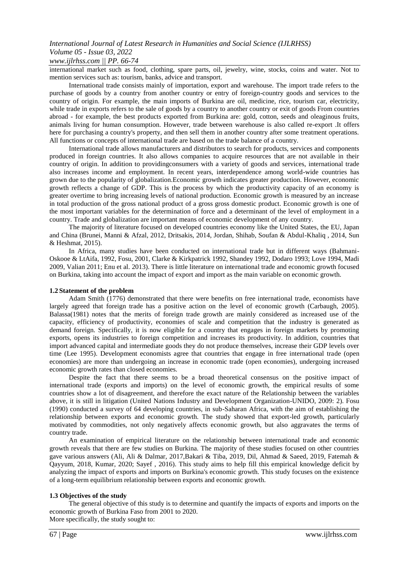#### *www.ijlrhss.com || PP. 66-74*

international market such as food, clothing, spare parts, oil, jewelry, wine, stocks, coins and water. Not to mention services such as: tourism, banks, advice and transport.

International trade consists mainly of importation, export and warehouse. The import trade refers to the purchase of goods by a country from another country or entry of foreign-country goods and services to the country of origin. For example, the main imports of Burkina are oil, medicine, rice, tourism car, electricity, while trade in exports refers to the sale of goods by a country to another country or exit of goods From countries abroad - for example, the best products exported from Burkina are: gold, cotton, seeds and oleaginous fruits, animals living for human consumption. However, trade between warehouse is also called re-export .It offers here for purchasing a country's property, and then sell them in another country after some treatment operations. All functions or concepts of international trade are based on the trade balance of a country.

International trade allows manufacturers and distributors to search for products, services and components produced in foreign countries. It also allows companies to acquire resources that are not available in their country of origin. In addition to providingconsumers with a variety of goods and services, international trade also increases income and employment. In recent years, interdependence among world-wide countries has grown due to the popularity of globalization.Economic growth indicates greater production. However, economic growth reflects a change of GDP. This is the process by which the productivity capacity of an economy is greater overtime to bring increasing levels of national production. Economic growth is measured by an increase in total production of the gross national product of a gross gross domestic product. Economic growth is one of the most important variables for the determination of force and a determinant of the level of employment in a country. Trade and globalization are important means of economic development of any country.

The majority of literature focused on developed countries economy like the United States, the EU, Japan and China (Brunei, Manni & Afzal, 2012, Dritsakis, 2014, Jordan, Shihab, Soufan & Abdul-Khaliq , 2014, Sun & Heshmat, 2015).

In Africa, many studies have been conducted on international trade but in different ways (Bahmani-Oskooe & LtAifa, 1992, Fosu, 2001, Clarke & Kirkpatrick 1992, Shandey 1992, Dodaro 1993; Love 1994, Madi 2009, Valian 2011; Enu et al. 2013). There is little literature on international trade and economic growth focused on Burkina, taking into account the impact of export and import as the main variable on economic growth.

#### **1.2 Statement of the problem**

Adam Smith (1776) demonstrated that there were benefits on free international trade, economists have largely agreed that foreign trade has a positive action on the level of economic growth (Carbaugh, 2005). Balassa(1981) notes that the merits of foreign trade growth are mainly considered as increased use of the capacity, efficiency of productivity, economies of scale and competition that the industry is generated as demand foreign. Specifically, it is now eligible for a country that engages in foreign markets by promoting exports, opens its industries to foreign competition and increases its productivity. In addition, countries that import advanced capital and intermediate goods they do not produce themselves, increase their GDP levels over time (Lee 1995). Development economists agree that countries that engage in free international trade (open economies) are more than undergoing an increase in economic trade (open economies), undergoing increased economic growth rates than closed economies.

Despite the fact that there seems to be a broad theoretical consensus on the positive impact of international trade (exports and imports) on the level of economic growth, the empirical results of some countries show a lot of disagreement, and therefore the exact nature of the Relationship between the variables above, it is still in litigation (United Nations Industry and Development Organization-UNIDO, 2009: 2). Fosu (1990) conducted a survey of 64 developing countries, in sub-Saharan Africa, with the aim of establishing the relationship between exports and economic growth. The study showed that export-led growth, particularly motivated by commodities, not only negatively affects economic growth, but also aggravates the terms of country trade.

An examination of empirical literature on the relationship between international trade and economic growth reveals that there are few studies on Burkina. The majority of these studies focused on other countries gave various answers (Ali, Ali & Dalmar, 2017,Bakari & Tiba, 2019, Dil, Ahmad & Saeed, 2019, Fatemah & Qayyum, 2018, Kumar, 2020; Sayef , 2016). This study aims to help fill this empirical knowledge deficit by analyzing the impact of exports and imports on Burkina's economic growth. This study focuses on the existence of a long-term equilibrium relationship between exports and economic growth.

#### **1.3 Objectives of the study**

The general objective of this study is to determine and quantify the impacts of exports and imports on the economic growth of Burkina Faso from 2001 to 2020.

More specifically, the study sought to: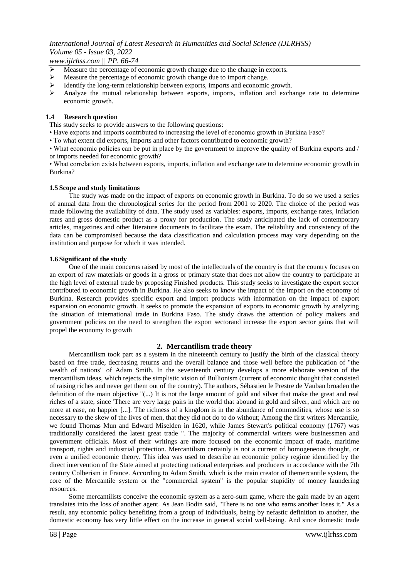*www.ijlrhss.com || PP. 66-74*

- Measure the percentage of economic growth change due to the change in exports.
- Measure the percentage of economic growth change due to import change.
- Identify the long-term relationship between exports, imports and economic growth.
- $\triangleright$  Analyze the mutual relationship between exports, imports, inflation and exchange rate to determine economic growth.

#### **1.4 Research question**

This study seeks to provide answers to the following questions:

- Have exports and imports contributed to increasing the level of economic growth in Burkina Faso?
- To what extent did exports, imports and other factors contributed to economic growth?

• What economic policies can be put in place by the government to improve the quality of Burkina exports and / or imports needed for economic growth?

• What correlation exists between exports, imports, inflation and exchange rate to determine economic growth in Burkina?

#### **1.5 Scope and study limitations**

The study was made on the impact of exports on economic growth in Burkina. To do so we used a series of annual data from the chronological series for the period from 2001 to 2020. The choice of the period was made following the availability of data. The study used as variables: exports, imports, exchange rates, inflation rates and gross domestic product as a proxy for production. The study anticipated the lack of contemporary articles, magazines and other literature documents to facilitate the exam. The reliability and consistency of the data can be compromised because the data classification and calculation process may vary depending on the institution and purpose for which it was intended.

#### **1.6 Significant of the study**

One of the main concerns raised by most of the intellectuals of the country is that the country focuses on an export of raw materials or goods in a gross or primary state that does not allow the country to participate at the high level of external trade by proposing Finished products. This study seeks to investigate the export sector contributed to economic growth in Burkina. He also seeks to know the impact of the import on the economy of Burkina. Research provides specific export and import products with information on the impact of export expansion on economic growth. It seeks to promote the expansion of exports to economic growth by analyzing the situation of international trade in Burkina Faso. The study draws the attention of policy makers and government policies on the need to strengthen the export sectorand increase the export sector gains that will propel the economy to growth

#### **2. Mercantilism trade theory**

Mercantilism took part as a system in the nineteenth century to justify the birth of the classical theory based on free trade, decreasing returns and the overall balance and those well before the publication of "the wealth of nations" of Adam Smith. In the seventeenth century develops a more elaborate version of the mercantilism ideas, which rejects the simplistic vision of Bullionism (current of economic thought that consisted of raising riches and never get them out of the country). The authors, Sébastien le Prestre de Vauban broaden the definition of the main objective "(...) It is not the large amount of gold and silver that make the great and real riches of a state, since 'There are very large pairs in the world that abound in gold and silver, and which are no more at ease, no happier [...]. The richness of a kingdom is in the abundance of commodities, whose use is so necessary to the skew of the lives of men, that they did not do to do without; Among the first writers Mercantile, we found Thomas Mun and Edward Miselden in 1620, while James Stewart's political economy (1767) was traditionally considered the latest great trade ". The majority of commercial writers were businessmen and government officials. Most of their writings are more focused on the economic impact of trade, maritime transport, rights and industrial protection. Mercantilism certainly is not a current of homogeneous thought, or even a unified economic theory. This idea was used to describe an economic policy regime identified by the direct intervention of the State aimed at protecting national enterprises and producers in accordance with the 7th century Colberism in France. According to Adam Smith, which is the main creator of themercantile system, the core of the Mercantile system or the "commercial system" is the popular stupidity of money laundering resources.

Some mercantilists conceive the economic system as a zero-sum game, where the gain made by an agent translates into the loss of another agent. As Jean Bodin said, "There is no one who earns another loses it." As a result, any economic policy benefiting from a group of individuals, being by nefastic definition to another, the domestic economy has very little effect on the increase in general social well-being. And since domestic trade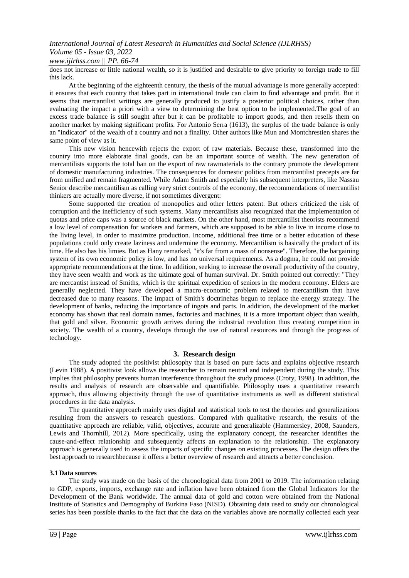### *www.ijlrhss.com || PP. 66-74*

does not increase or little national wealth, so it is justified and desirable to give priority to foreign trade to fill this lack.

At the beginning of the eighteenth century, the thesis of the mutual advantage is more generally accepted: it ensures that each country that takes part in international trade can claim to find advantage and profit. But it seems that mercantilist writings are generally produced to justify a posterior political choices, rather than evaluating the impact a priori with a view to determining the best option to be implemented.The goal of an excess trade balance is still sought after but it can be profitable to import goods, and then resells them on another market by making significant profits. For Antonio Serra (1613), the surplus of the trade balance is only an "indicator" of the wealth of a country and not a finality. Other authors like Mun and Montchrestien shares the same point of view as it.

This new vision hencewith rejects the export of raw materials. Because these, transformed into the country into more elaborate final goods, can be an important source of wealth. The new generation of mercantilists supports the total ban on the export of raw rawmaterials to the contrary promote the development of domestic manufacturing industries. The consequences for domestic politics from mercantilist precepts are far from unified and remain fragmented. While Adam Smith and especially his subsequent interpreters, like Nassau Senior describe mercantilism as calling very strict controls of the economy, the recommendations of mercantilist thinkers are actually more diverse, if not sometimes divergent:

Some supported the creation of monopolies and other letters patent. But others criticized the risk of corruption and the inefficiency of such systems. Many mercantilists also recognized that the implementation of quotas and price caps was a source of black markets. On the other hand, most mercantilist theorists recommend a low level of compensation for workers and farmers, which are supposed to be able to live in income close to the living level, in order to maximize production. Income, additional free time or a better education of these populations could only create laziness and undermine the economy. Mercantilism is basically the product of its time. He also has his limies. But as Hany remarked, "it's far from a mass of nonsense". Therefore, the bargaining system of its own economic policy is low, and has no universal requirements. As a dogma, he could not provide appropriate recommendations at the time. In addition, seeking to increase the overall productivity of the country, they have seen wealth and work as the ultimate goal of human survival. Dr. Smith pointed out correctly: "They are mercantist instead of Smiths, which is the spiritual expedition of seniors in the modern economy. Elders are generally neglected. They have developed a macro-economic problem related to mercantilism that have decreased due to many reasons. The impact of Smith's doctrinehas begun to replace the energy strategy. The development of banks, reducing the importance of ingots and parts. In addition, the development of the market economy has shown that real domain names, factories and machines, it is a more important object than wealth, that gold and silver. Economic growth arrives during the industrial revolution thus creating competition in society. The wealth of a country, develops through the use of natural resources and through the progress of technology.

#### **3. Research design**

The study adopted the positivist philosophy that is based on pure facts and explains objective research (Levin 1988). A positivist look allows the researcher to remain neutral and independent during the study. This implies that philosophy prevents human interference throughout the study process (Croty, 1998). In addition, the results and analysis of research are observable and quantifiable. Philosophy uses a quantitative research approach, thus allowing objectivity through the use of quantitative instruments as well as different statistical procedures in the data analysis.

The quantitative approach mainly uses digital and statistical tools to test the theories and generalizations resulting from the answers to research questions. Compared with qualitative research, the results of the quantitative approach are reliable, valid, objectives, accurate and generalizable (Hammersley, 2008, Saunders, Lewis and Thornhill, 2012). More specifically, using the explanatory concept, the researcher identifies the cause-and-effect relationship and subsequently affects an explanation to the relationship. The explanatory approach is generally used to assess the impacts of specific changes on existing processes. The design offers the best approach to researchbecause it offers a better overview of research and attracts a better conclusion.

#### **3.1 Data sources**

The study was made on the basis of the chronological data from 2001 to 2019. The information relating to GDP, exports, imports, exchange rate and inflation have been obtained from the Global Indicators for the Development of the Bank worldwide. The annual data of gold and cotton were obtained from the National Institute of Statistics and Demography of Burkina Faso (NISD). Obtaining data used to study our chronological series has been possible thanks to the fact that the data on the variables above are normally collected each year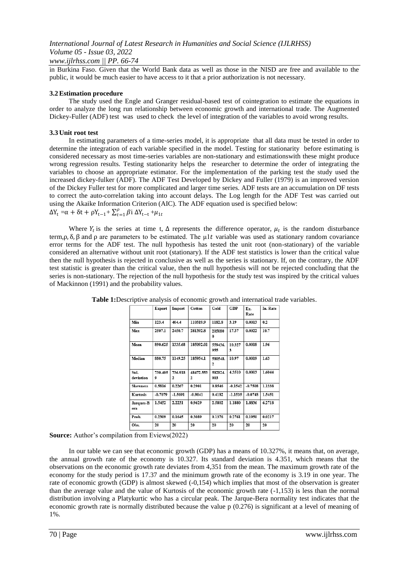#### *www.ijlrhss.com || PP. 66-74*

in Burkina Faso. Given that the World Bank data as well as those in the NISD are free and available to the public, it would be much easier to have access to it that a prior authorization is not necessary.

#### **3.2Estimation procedure**

The study used the Engle and Granger residual-based test of cointegration to estimate the equations in order to analyze the long run relationship between economic growth and international trade. The Augmented Dickey-Fuller (ADF) test was used to check the level of integration of the variables to avoid wrong results.

#### **3.3 Unit root test**

In estimating parameters of a time-series model, it is appropriate that all data must be tested in order to determine the integration of each variable specified in the model. Testing for stationarity before estimating is considered necessary as most time-series variables are non-stationary and estimationswith these might produce wrong regression results. Testing stationarity helps the researcher to determine the order of integrating the variables to choose an appropriate estimator. For the implementation of the parking test the study used the increased dickey-fulker (ADF). The ADF Test Developed by Dickey and Fuller (1979) is an improved version of the Dickey Fuller test for more complicated and larger time series. ADF tests are an accumulation on DF tests to correct the auto-correlation taking into account delays. The Log length for the ADF Test was carried out using the Akaike Information Criterion (AIC). The ADF equation used is specified below:  $\Delta Y_t = \alpha + \delta t + \rho Y_{t-1} + \sum_{t=1}^{p} \beta$  $_{t=1}^{\rho} \beta$ i ΔY<sub>t−t</sub> +μ<sub>1t</sub>

Where  $Y_t$  is the series at time t,  $\Delta$  represents the difference operator,  $\mu_t$  is the random disturbance term,  $ρ$ ,  $δ$ ,  $β$  and  $ρ$  are parameters to be estimated. The μ1t variable was used as stationary random covariance error terms for the ADF test. The null hypothesis has tested the unit root (non-stationary) of the variable considered an alternative without unit root (stationary). If the ADF test statistics is lower than the critical value then the null hypothesis is rejected in conclusive as well as the series is stationary. If, on the contrary, the ADF test statistic is greater than the critical value, then the null hypothesis will not be rejected concluding that the series is non-stationary. The rejection of the null hypothesis for the study test was inspired by the critical values of Mackinnon (1991) and the probability values.

|                  | Export    | Import    | Cotton    | Gold           | GDP         | Ex.<br>Rate | In. Rate |
|------------------|-----------|-----------|-----------|----------------|-------------|-------------|----------|
|                  |           |           |           |                |             |             |          |
| Min              | 123.4     | 404.4     | 110319.9  | 1182.8         | 3.19        | 0.0013      | 0.2      |
| Max              | 2507.1    | 2450.7    | 281392.8  | 205080<br>0    | 17.37       | 0.0022      | 10.7     |
| Mean             | 890.625   | 1335.68   | 185092.01 | 559436.<br>955 | 10.327<br>3 | 0.0018      | 1.96     |
| Median           | 880.75    | 1149.25   | 185954.1  | 580548.<br>2   | 10.97       | 0.0019      | 1.63     |
| Std.             | 730.405   | 736.918   | 48472.553 | 582824.        | 4.3510      | 0.0003      | 1.6044   |
| deviation        | 9         | 2         | 2         | 003            |             |             |          |
| <b>Skewness</b>  | 0.5816    | 0.2267    | 0.2901    | 0.8546         | $-0.1542$   | $-0.7508$   | 1.1338   |
| Kurtosis         | $-0.7079$ | $-1.5691$ | $-0.9041$ | 0.4182         | -1.1535     | $-0.0748$   | 1.5451   |
| Jarques-B<br>era | 1.5452    | 2.2231    | 0.9629    | 2.5802         | 1.1880      | 1.8836      | 6.2718   |
| Prob.            | 0.2309    | 0.1645    | 0.3089    | 0.1376         | 0.2761      | 0.1950      | 0.0217   |
| Obs.             | 20        | 20        | 20        | 20             | 20          | 20          | 20       |

**Table 1:**Descriptive analysis of economic growth and internatioal trade variables.

**Source:** Author's compilation from Eviews(2022)

In our table we can see that economic growth (GDP) has a means of 10.327%, it means that, on average, the annual growth rate of the economy is 10.327. Its standard deviation is 4.351, which means that the observations on the economic growth rate deviates from 4,351 from the mean. The maximum growth rate of the economy for the study period is 17.37 and the minimum growth rate of the economy is 3.19 in one year. The rate of economic growth (GDP) is almost skewed (-0,154) which implies that most of the observation is greater than the average value and the value of Kurtosis of the economic growth rate (-1,153) is less than the normal distribution involving a Platykurtic who has a circular peak. The Jarque-Bera normality test indicates that the economic growth rate is normally distributed because the value p (0.276) is significant at a level of meaning of 1%.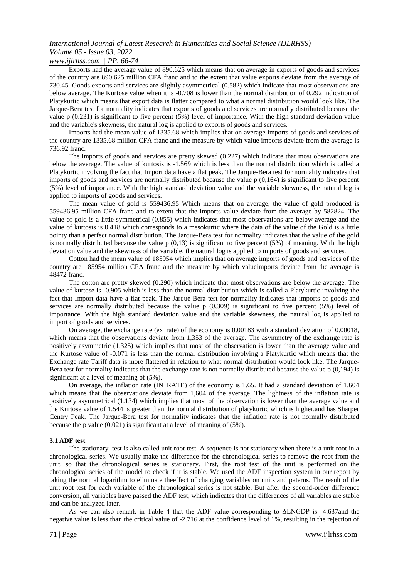#### *www.ijlrhss.com || PP. 66-74*

Exports had the average value of 890,625 which means that on average in exports of goods and services of the country are 890.625 million CFA franc and to the extent that value exports deviate from the average of 730.45. Goods exports and services are slightly asymmetrical (0.582) which indicate that most observations are below average. The Kurtose value when it is -0.708 is lower than the normal distribution of 0.292 indication of Platykurtic which means that export data is flatter compared to what a normal distribution would look like. The Jarque-Bera test for normality indicates that exports of goods and services are normally distributed because the value p  $(0.231)$  is significant to five percent  $(5%)$  level of importance. With the high standard deviation value and the variable's skewness, the natural log is applied to exports of goods and services.

Imports had the mean value of 1335.68 which implies that on average imports of goods and services of the country are 1335.68 million CFA franc and the measure by which value imports deviate from the average is 736.92 franc.

The imports of goods and services are pretty skewed (0.227) which indicate that most observations are below the average. The value of kurtosis is -1.569 which is less than the normal distribution which is called a Platykurtic involving the fact that Import data have a flat peak. The Jarque-Bera test for normality indicates that imports of goods and services are normally distributed because the value  $p(0,164)$  is significant to five percent (5%) level of importance. With the high standard deviation value and the variable skewness, the natural log is applied to imports of goods and services.

The mean value of gold is 559436.95 Which means that on average, the value of gold produced is 559436.95 million CFA franc and to extent that the imports value deviate from the average by 582824. The value of gold is a little symmetrical (0.855) which indicates that most observations are below average and the value of kurtosis is 0.418 which corresponds to a mesokurtic where the data of the value of the Gold is a little pointy than a perfect normal distribution. The Jarque-Bera test for normality indicates that the value of the gold is normally distributed because the value  $p(0,13)$  is significant to five percent (5%) of meaning. With the high deviation value and the skewness of the variable, the natural log is applied to imports of goods and services.

Cotton had the mean value of 185954 which implies that on average imports of goods and services of the country are 185954 million CFA franc and the measure by which valueimports deviate from the average is 48472 franc.

The cotton are pretty skewed (0.290) which indicate that most observations are below the average. The value of kurtose is -0.905 which is less than the normal distribution which is called a Platykurtic involving the fact that Import data have a flat peak. The Jarque-Bera test for normality indicates that imports of goods and services are normally distributed because the value p (0,309) is significant to five percent (5%) level of importance. With the high standard deviation value and the variable skewness, the natural log is applied to import of goods and services.

On average, the exchange rate (ex\_rate) of the economy is 0.00183 with a standard deviation of 0.00018, which means that the observations deviate from 1,353 of the average. The asymmetry of the exchange rate is positively asymmetric (1.325) which implies that most of the observation is lower than the average value and the Kurtose value of -0.071 is less than the normal distribution involving a Platykurtic which means that the Exchange rate Tariff data is more flattered in relation to what normal distribution would look like. The Jarque-Bera test for normality indicates that the exchange rate is not normally distributed because the value p (0,194) is significant at a level of meaning of (5%).

On average, the inflation rate (IN\_RATE) of the economy is 1.65. It had a standard deviation of 1.604 which means that the observations deviate from 1,604 of the average. The lightness of the inflation rate is positively asymmetrical (1.134) which implies that most of the observation is lower than the average value and the Kurtose value of 1.544 is greater than the normal distribution of platykurtic which is higher.and has Sharper Centry Peak. The Jarque-Bera test for normality indicates that the inflation rate is not normally distributed because the p value (0.021) is significant at a level of meaning of (5%).

#### **3.1 ADF test**

The stationary test is also called unit root test. A sequence is not stationary when there is a unit root in a chronological series. We usually make the difference for the chronological series to remove the root from the unit, so that the chronological series is stationary. First, the root test of the unit is performed on the chronological series of the model to check if it is stable. We used the ADF inspection system in our report by taking the normal logarithm to eliminate theeffect of changing variables on units and paterns. The result of the unit root test for each variable of the chronological series is not stable. But after the second-order difference conversion, all variables have passed the ADF test, which indicates that the differences of all variables are stable and can be analyzed later.

As we can also remark in Table 4 that the ADF value corresponding to ΔLNGDP is -4.637and the negative value is less than the critical value of -2.716 at the confidence level of 1%, resulting in the rejection of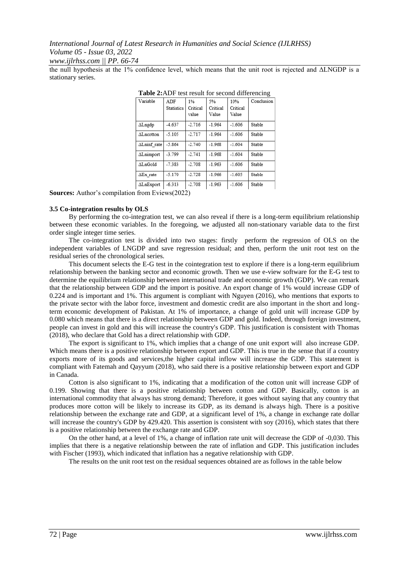*www.ijlrhss.com || PP. 66-74*

the null hypothesis at the 1% confidence level, which means that the unit root is rejected and ΔLNGDP is a stationary series.

| 1 UUIV 201 IL/I<br>toot result for second unferencing |                          |                         |                         |                          |            |
|-------------------------------------------------------|--------------------------|-------------------------|-------------------------|--------------------------|------------|
| Variable                                              | ADF<br><b>Statistics</b> | 1%<br>Critical<br>value | 5%<br>Critical<br>Value | 10%<br>Critical<br>Value | Conclusion |
| ΔLngdp                                                | $-4.637$                 | $-2.716$                | $-1.964$                | $-1.606$                 | Stable     |
| <b>ALncotton</b>                                      | $-5.105$                 | $-2.717$                | $-1.964$                | $-1.606$                 | Stable     |
| ALninf rate                                           | $-5.864$                 | $-2.740$                | $-1.968$                | $-1.604$                 | Stable     |
| <b>ALnimport</b>                                      | $-3.799$                 | $-2.741$                | $-1.968$                | $-1.604$                 | Stable     |
| <b>ALnGold</b>                                        | $-7.383$                 | $-2.708$                | $-1.963$                | $-1.606$                 | Stable     |
| $\Delta$ Ex rate                                      | $-5.170$                 | $-2.728$                | $-1.966$                | $-1.605$                 | Stable     |
| ∆LnExport<br>$\sim$ $\sim$                            | $-6.313$<br>(0.000)      | $-2.708$                | $-1.963$                | $-1.606$                 | Stable     |
|                                                       |                          |                         |                         |                          |            |

**Table 2:**ADF test result for second differencing

**Sources:** Author's compilation from Eviews(2022)

#### **3.5 Co-integration results by OLS**

By performing the co-integration test, we can also reveal if there is a long-term equilibrium relationship between these economic variables. In the foregoing, we adjusted all non-stationary variable data to the first order single integer time series.

The co-integration test is divided into two stages: firstly perform the regression of OLS on the independent variables of LNGDP and save regression residual; and then, perform the unit root test on the residual series of the chronological series.

This document selects the E-G test in the cointegration test to explore if there is a long-term equilibrium relationship between the banking sector and economic growth. Then we use e-view software for the E-G test to determine the equilibrium relationship between international trade and economic growth (GDP). We can remark that the relationship between GDP and the import is positive. An export change of 1% would increase GDP of 0.224 and is important and 1%. This argument is compliant with Nguyen (2016), who mentions that exports to the private sector with the labor force, investment and domestic credit are also important in the short and longterm economic development of Pakistan. At 1% of importance, a change of gold unit will increase GDP by 0.080 which means that there is a direct relationship between GDP and gold. Indeed, through foreign investment, people can invest in gold and this will increase the country's GDP. This justification is consistent with Thomas (2018), who declare that Gold has a direct relationship with GDP.

The export is significant to 1%, which implies that a change of one unit export will also increase GDP. Which means there is a positive relationship between export and GDP. This is true in the sense that if a country exports more of its goods and services,the higher capital inflow will increase the GDP. This statement is compliant with Fatemah and Qayyum (2018), who said there is a positive relationship between export and GDP in Canada.

Cotton is also significant to 1%, indicating that a modification of the cotton unit will increase GDP of 0.199. Showing that there is a positive relationship between cotton and GDP. Basically, cotton is an international commodity that always has strong demand; Therefore, it goes without saying that any country that produces more cotton will be likely to increase its GDP, as its demand is always high. There is a positive relationship between the exchange rate and GDP, at a significant level of 1%, a change in exchange rate dollar will increase the country's GDP by 429.420. This assertion is consistent with soy (2016), which states that there is a positive relationship between the exchange rate and GDP.

On the other hand, at a level of 1%, a change of inflation rate unit will decrease the GDP of -0,030. This implies that there is a negative relationship between the rate of inflation and GDP. This justification includes with Fischer (1993), which indicated that inflation has a negative relationship with GDP.

The results on the unit root test on the residual sequences obtained are as follows in the table below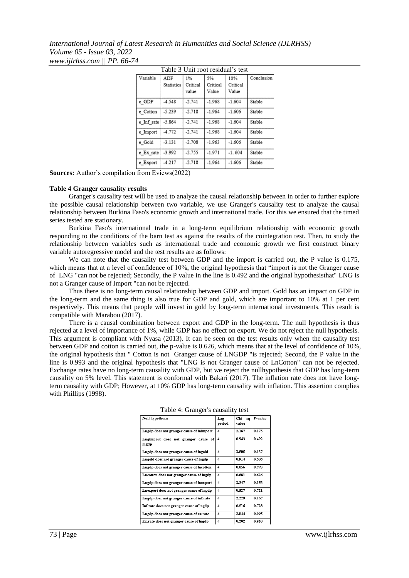*International Journal of Latest Research in Humanities and Social Science (IJLRHSS) Volume 05 - Issue 03, 2022 www.ijlrhss.com || PP. 66-74*

| Table 3 Unit root residual's test |                   |          |          |          |            |  |
|-----------------------------------|-------------------|----------|----------|----------|------------|--|
| Variable                          | ADF               | 1%       | 5%       | 10%      | Conclusion |  |
|                                   | <b>Statistics</b> | Critical | Critical | Critical |            |  |
|                                   |                   | value    | Value    | Value    |            |  |
| e GDP                             | $-4.548$          | $-2.741$ | $-1.968$ | $-1.604$ | Stable     |  |
| e Cotton                          | $-5.239$          | $-2.718$ | $-1.964$ | $-1.606$ | Stable     |  |
| e Inf rate                        | $-5.864$          | $-2.741$ | $-1.968$ | $-1.604$ | Stable     |  |
| e Import                          | $-4.772$          | $-2.741$ | $-1.968$ | $-1.604$ | Stable     |  |
| e Gold                            | $-3.131$          | $-2.708$ | $-1.963$ | $-1.606$ | Stable     |  |
| e Ex rate                         | $-3.992$          | $-2.755$ | $-1.971$ | $-1.604$ | Stable     |  |
| e Export                          | $-4.217$          | $-2.718$ | $-1.964$ | $-1.606$ | Stable     |  |

**Sources:** Author's compilation from Eviews(2022)

#### **Table 4 Granger causality results**

Granger's causality test will be used to analyze the causal relationship between in order to further explore the possible causal relationship between two variable, we use Granger's causality test to analyze the causal relationship between Burkina Faso's economic growth and international trade. For this we ensured that the timed series tested are stationary.

Burkina Faso's international trade in a long-term equilibrium relationship with economic growth responding to the conditions of the barn test as against the results of the cointegration test. Then, to study the relationship between variables such as international trade and economic growth we first construct binary variable autoregressive model and the test results are as follows:

We can note that the causality test between GDP and the import is carried out, the P value is 0.175, which means that at a level of confidence of 10%, the original hypothesis that "import is not the Granger cause" of LNG "can not be rejected; Secondly, the P value in the line is 0.492 and the original hypothesisthat" LNG is not a Granger cause of Import "can not be rejected.

Thus there is no long-term causal relationship between GDP and import. Gold has an impact on GDP in the long-term and the same thing is also true for GDP and gold, which are important to 10% at 1 per cent respectively. This means that people will invest in gold by long-term international investments. This result is compatible with Marabou (2017).

There is a causal combination between export and GDP in the long-term. The null hypothesis is thus rejected at a level of importance of 1%, while GDP has no effect on export. We do not reject the null hypothesis. This argument is compliant with Nyasa (2013). It can be seen on the test results only when the causality test between GDP and cotton is carried out, the p-value is 0.626, which means that at the level of confidence of 10%, the original hypothesis that " Cotton is not Granger cause of LNGDP "is rejected; Second, the P value in the line is 0.993 and the original hypothesis that "LNG is not Granger cause of LnCotton" can not be rejected. Exchange rates have no long-term causality with GDP, but we reject the nullhypothesis that GDP has long-term causality on 5% level. This statement is conformal with Bakari (2017). The inflation rate does not have longterm causality with GDP; However, at 10% GDP has long-term causality with inflation. This assertion complies with Phillips (1998).

| <b>Null hypothesis</b>                       | Lag<br>period           | Chi -sq<br>value | P-value |
|----------------------------------------------|-------------------------|------------------|---------|
| Lngdp does not granger cause of lnimport     | $\overline{\mathbf{4}}$ | 2.167            | 0.175   |
| Lngimport does not granger cause of<br>Ingdp | $\boldsymbol{4}$        | 0.943            | 0.492   |
| Lngdp does not granger cause of Ingold       | $\overline{\mathbf{4}}$ | 2.505            | 0.137   |
| Lngold does not granger cause of lngdp       | $\overline{\mathbf{4}}$ | 0.914            | 0.505   |
| Lngdp does not granger cause of Incotton     | $\overline{\mathbf{4}}$ | 0.056            | 0.993   |
| Lncotton does not granger cause of lngdp     | $\overline{\mathbf{4}}$ | 0.681            | 0.626   |
| Lngdp does not granger cause of lnexport     | $\overline{\mathbf{4}}$ | 2.347            | 0.153   |
| Lnexport does not granger cause of lngdp     | $\boldsymbol{4}$        | 0.527            | 0.721   |
| Lngdp does not granger cause of inf.rate     | $\overline{\mathbf{4}}$ | 2.229            | 0.167   |
| Inf.rate does not granger cause of lngdp     | $\overline{\mathbf{4}}$ | 0.516            | 0.728   |
| Lngdp does not granger cause of ex.rate      | $\overline{\mathbf{4}}$ | 3.044            | 0.095   |
| Ex.rate does not granger cause of lngdp      | $\overline{\mathbf{4}}$ | 0.202            | 0.930   |

|  | Table 4: Granger's causality test |  |  |
|--|-----------------------------------|--|--|
|--|-----------------------------------|--|--|